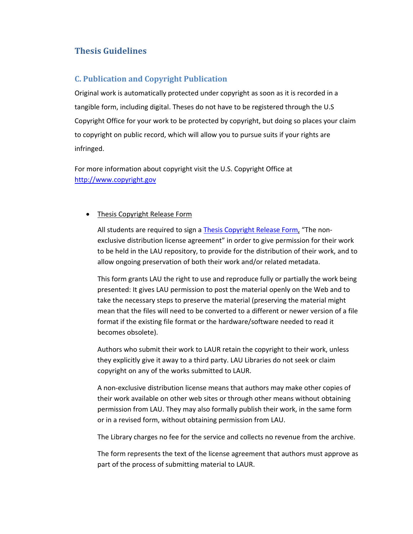## **Thesis Guidelines**

## **C. Publication and Copyright Publication**

Original work is automatically protected under copyright as soon as it is recorded in a tangible form, including digital. Theses do not have to be registered through the U.S Copyright Office for your work to be protected by copyright, but doing so places your claim to copyright on public record, which will allow you to pursue suits if your rights are infringed.

For more information about copyright visit the U.S. Copyright Office at http://www.copyright.gov

## • Thesis Copyright Release Form

All students are required to sign a Thesis Copyright Release Form, "The nonexclusive distribution license agreement" in order to give permission for their work to be held in the LAU repository, to provide for the distribution of their work, and to allow ongoing preservation of both their work and/or related metadata.

This form grants LAU the right to use and reproduce fully or partially the work being presented: It gives LAU permission to post the material openly on the Web and to take the necessary steps to preserve the material (preserving the material might mean that the files will need to be converted to a different or newer version of a file format if the existing file format or the hardware/software needed to read it becomes obsolete).

Authors who submit their work to LAUR retain the copyright to their work, unless they explicitly give it away to a third party. LAU Libraries do not seek or claim copyright on any of the works submitted to LAUR.

A non‐exclusive distribution license means that authors may make other copies of their work available on other web sites or through other means without obtaining permission from LAU. They may also formally publish their work, in the same form or in a revised form, without obtaining permission from LAU.

The Library charges no fee for the service and collects no revenue from the archive.

The form represents the text of the license agreement that authors must approve as part of the process of submitting material to LAUR.